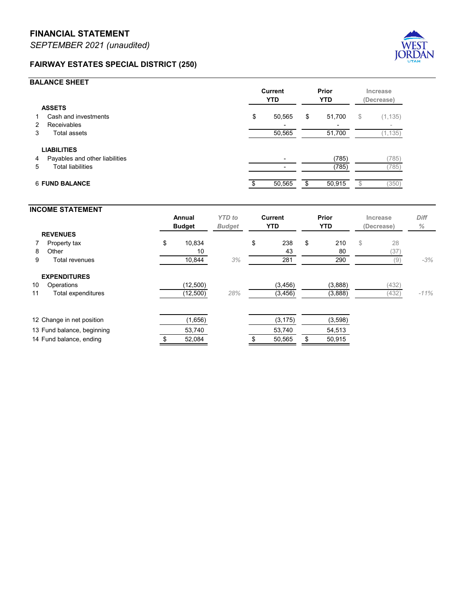## **FAIRWAY ESTATES SPECIAL DISTRICT (250)**



## **BALANCE SHEET**

|                       |                                | <b>Current</b><br><b>YTD</b> |        | Prior<br><b>YTD</b> |                          | Increase<br>(Decrease) |                          |
|-----------------------|--------------------------------|------------------------------|--------|---------------------|--------------------------|------------------------|--------------------------|
| <b>ASSETS</b>         |                                |                              |        |                     |                          |                        |                          |
| 1                     | Cash and investments           | \$                           | 50,565 | \$                  | 51,700                   | \$                     | (1, 135)                 |
| 2                     | Receivables                    |                              |        |                     | $\overline{\phantom{0}}$ |                        | $\overline{\phantom{a}}$ |
| 3                     | Total assets                   |                              | 50,565 |                     | 51,700                   |                        | (1, 135)                 |
|                       | <b>LIABILITIES</b>             |                              |        |                     |                          |                        |                          |
| 4                     | Payables and other liabilities |                              |        |                     | (785)                    |                        | (785)                    |
| 5                     | <b>Total liabilities</b>       |                              |        |                     | (785)                    |                        | (785)                    |
| <b>6 FUND BALANCE</b> |                                |                              | 50,565 | \$.                 | 50,915                   |                        | (350)                    |

## **INCOME STATEMENT Annual** *YTD to* **Current Prior Increase** *Diff* **Budget** *Budget* **YTD YTD (Decrease)** *%* **REVENUES 7 Property tax \$ 10,834 \$ 238 \$ 210** \$ 28 8 Other 10  $10$   $10$   $13$   $13$   $180$   $(37)$ 9 Total revenues 10,844 *3%* 281 290 (9) *-3%* **EXPENDITURES 10 Operations (12,500) (3,456) (3,888)** (432) 11 Total expenditures (12,500) *28%* (3,456) (3,888) (432) *-11%* 12 Change in net position (1,656) (3,175) (3,598) 13 Fund balance, beginning 53,740 53,740 54,513 14 Fund balance, ending  $$52,084$   $$50,565$   $$50,915$